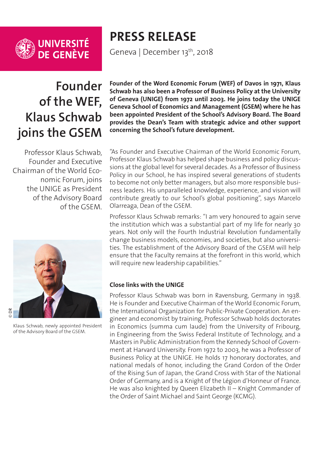

UNIVERSITÉ<br>DE GENÈVE

**PRESS RELEASE**

Geneva | December 13<sup>th</sup>, 2018

## **Founder of the WEF, Klaus Schwab joins the GSEM**

Professor Klaus Schwab, Founder and Executive Chairman of the World Economic Forum, joins the UNIGE as President of the Advisory Board of the GSEM.



Klaus Schwab, newly appointed President of the Advisory Board of the GSEM.

**Founder of the Word Economic Forum (WEF) of Davos in 1971, Klaus Schwab has also been a Professor of Business Policy at the University of Geneva (UNIGE) from 1972 until 2003. He joins today the UNIGE Geneva School of Economics and Management (GSEM) where he has been appointed President of the School's Advisory Board. The Board provides the Dean's Team with strategic advice and other support concerning the School's future development.**

"As Founder and Executive Chairman of the World Economic Forum, Professor Klaus Schwab has helped shape business and policy discussions at the global level for several decades. As a Professor of Business Policy in our School, he has inspired several generations of students to become not only better managers, but also more responsible business leaders. His unparalleled knowledge, experience, and vision will contribute greatly to our School's global positioning", says Marcelo Olarreaga, Dean of the GSEM.

Professor Klaus Schwab remarks: "I am very honoured to again serve the institution which was a substantial part of my life for nearly 30 years. Not only will the Fourth Industrial Revolution fundamentally change business models, economies, and societies, but also universities. The establishment of the Advisory Board of the GSEM will help ensure that the Faculty remains at the forefront in this world, which will require new leadership capabilities."

## **Close links with the UNIGE**

Professor Klaus Schwab was born in Ravensburg, Germany in 1938. He is Founder and Executive Chairman of the World Economic Forum, the International Organization for Public-Private Cooperation. An engineer and economist by training, Professor Schwab holds doctorates in Economics (summa cum laude) from the University of Fribourg, in Engineering from the Swiss Federal Institute of Technology, and a Masters in Public Administration from the Kennedy School of Government at Harvard University. From 1972 to 2003, he was a Professor of Business Policy at the UNIGE. He holds 17 honorary doctorates, and national medals of honor, including the Grand Cordon of the Order of the Rising Sun of Japan, the Grand Cross with Star of the National Order of Germany, and is a Knight of the Légion d'Honneur of France. He was also knighted by Queen Elizabeth II – Knight Commander of the Order of Saint Michael and Saint George (KCMG).